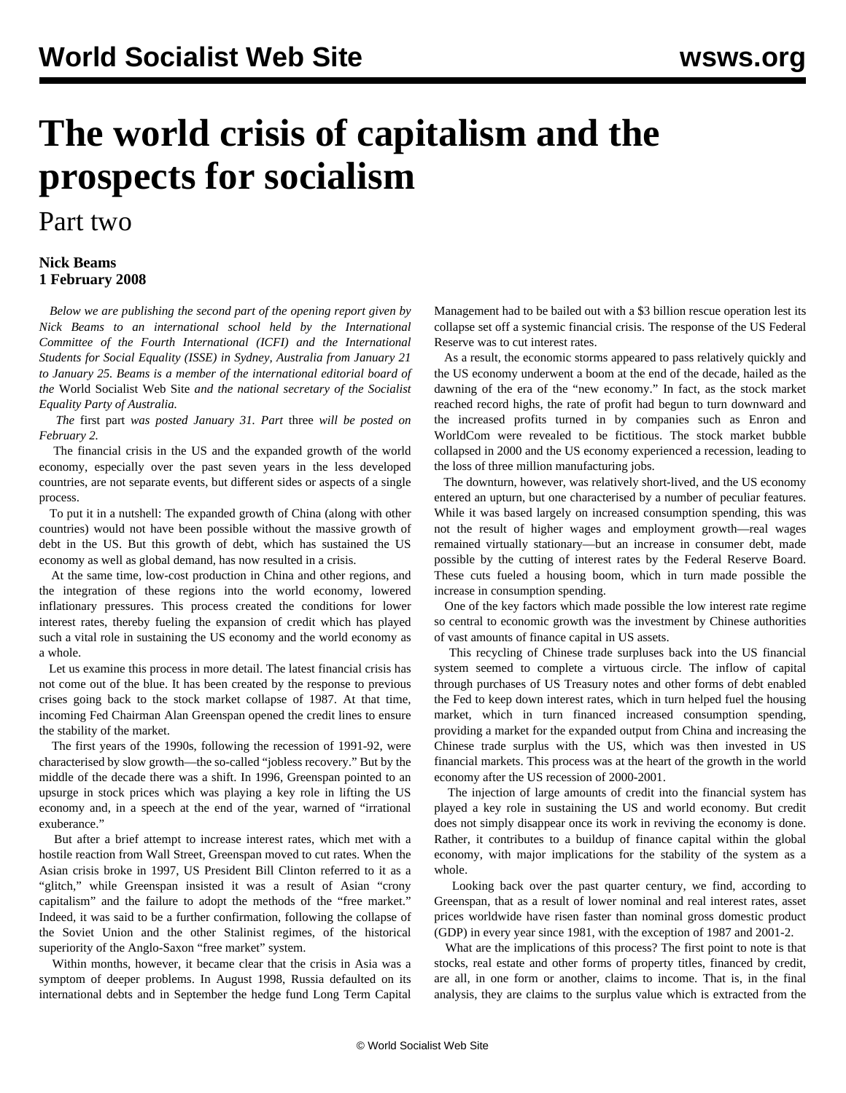## **The world crisis of capitalism and the prospects for socialism**

## Part two

## **Nick Beams 1 February 2008**

 *Below we are publishing the second part of the opening report given by Nick Beams to an international school held by the International Committee of the Fourth International (ICFI) and the International Students for Social Equality (ISSE) in Sydney, Australia from January 21 to January 25. Beams is a member of the international editorial board of the* World Socialist Web Site *and the national secretary of the Socialist Equality Party of Australia.*

 *The* [first part](/en/articles/2008/01/nbe1-j31.html) *was posted January 31. Part* [three](/en/articles/2008/02/nbe3-f02.html) *will be posted on February 2.*

 The financial crisis in the US and the expanded growth of the world economy, especially over the past seven years in the less developed countries, are not separate events, but different sides or aspects of a single process.

 To put it in a nutshell: The expanded growth of China (along with other countries) would not have been possible without the massive growth of debt in the US. But this growth of debt, which has sustained the US economy as well as global demand, has now resulted in a crisis.

 At the same time, low-cost production in China and other regions, and the integration of these regions into the world economy, lowered inflationary pressures. This process created the conditions for lower interest rates, thereby fueling the expansion of credit which has played such a vital role in sustaining the US economy and the world economy as a whole.

 Let us examine this process in more detail. The latest financial crisis has not come out of the blue. It has been created by the response to previous crises going back to the stock market collapse of 1987. At that time, incoming Fed Chairman Alan Greenspan opened the credit lines to ensure the stability of the market.

 The first years of the 1990s, following the recession of 1991-92, were characterised by slow growth—the so-called "jobless recovery." But by the middle of the decade there was a shift. In 1996, Greenspan pointed to an upsurge in stock prices which was playing a key role in lifting the US economy and, in a speech at the end of the year, warned of "irrational exuberance."

 But after a brief attempt to increase interest rates, which met with a hostile reaction from Wall Street, Greenspan moved to cut rates. When the Asian crisis broke in 1997, US President Bill Clinton referred to it as a "glitch," while Greenspan insisted it was a result of Asian "crony capitalism" and the failure to adopt the methods of the "free market." Indeed, it was said to be a further confirmation, following the collapse of the Soviet Union and the other Stalinist regimes, of the historical superiority of the Anglo-Saxon "free market" system.

 Within months, however, it became clear that the crisis in Asia was a symptom of deeper problems. In August 1998, Russia defaulted on its international debts and in September the hedge fund Long Term Capital Management had to be bailed out with a \$3 billion rescue operation lest its collapse set off a systemic financial crisis. The response of the US Federal Reserve was to cut interest rates.

 As a result, the economic storms appeared to pass relatively quickly and the US economy underwent a boom at the end of the decade, hailed as the dawning of the era of the "new economy." In fact, as the stock market reached record highs, the rate of profit had begun to turn downward and the increased profits turned in by companies such as Enron and WorldCom were revealed to be fictitious. The stock market bubble collapsed in 2000 and the US economy experienced a recession, leading to the loss of three million manufacturing jobs.

 The downturn, however, was relatively short-lived, and the US economy entered an upturn, but one characterised by a number of peculiar features. While it was based largely on increased consumption spending, this was not the result of higher wages and employment growth—real wages remained virtually stationary—but an increase in consumer debt, made possible by the cutting of interest rates by the Federal Reserve Board. These cuts fueled a housing boom, which in turn made possible the increase in consumption spending.

 One of the key factors which made possible the low interest rate regime so central to economic growth was the investment by Chinese authorities of vast amounts of finance capital in US assets.

 This recycling of Chinese trade surpluses back into the US financial system seemed to complete a virtuous circle. The inflow of capital through purchases of US Treasury notes and other forms of debt enabled the Fed to keep down interest rates, which in turn helped fuel the housing market, which in turn financed increased consumption spending, providing a market for the expanded output from China and increasing the Chinese trade surplus with the US, which was then invested in US financial markets. This process was at the heart of the growth in the world economy after the US recession of 2000-2001.

 The injection of large amounts of credit into the financial system has played a key role in sustaining the US and world economy. But credit does not simply disappear once its work in reviving the economy is done. Rather, it contributes to a buildup of finance capital within the global economy, with major implications for the stability of the system as a whole.

 Looking back over the past quarter century, we find, according to Greenspan, that as a result of lower nominal and real interest rates, asset prices worldwide have risen faster than nominal gross domestic product (GDP) in every year since 1981, with the exception of 1987 and 2001-2.

 What are the implications of this process? The first point to note is that stocks, real estate and other forms of property titles, financed by credit, are all, in one form or another, claims to income. That is, in the final analysis, they are claims to the surplus value which is extracted from the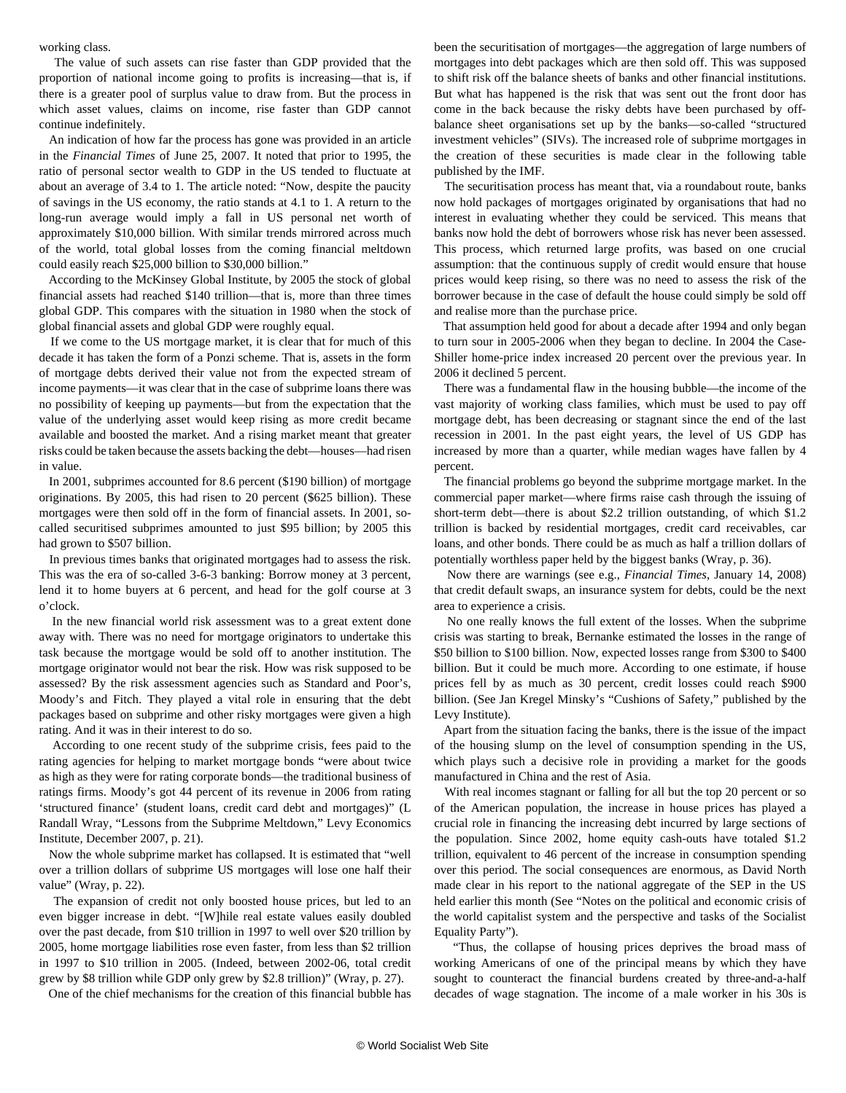working class.

 The value of such assets can rise faster than GDP provided that the proportion of national income going to profits is increasing—that is, if there is a greater pool of surplus value to draw from. But the process in which asset values, claims on income, rise faster than GDP cannot continue indefinitely.

 An indication of how far the process has gone was provided in an article in the *Financial Times* of June 25, 2007. It noted that prior to 1995, the ratio of personal sector wealth to GDP in the US tended to fluctuate at about an average of 3.4 to 1. The article noted: "Now, despite the paucity of savings in the US economy, the ratio stands at 4.1 to 1. A return to the long-run average would imply a fall in US personal net worth of approximately \$10,000 billion. With similar trends mirrored across much of the world, total global losses from the coming financial meltdown could easily reach \$25,000 billion to \$30,000 billion."

 According to the McKinsey Global Institute, by 2005 the stock of global financial assets had reached \$140 trillion—that is, more than three times global GDP. This compares with the situation in 1980 when the stock of global financial assets and global GDP were roughly equal.

 If we come to the US mortgage market, it is clear that for much of this decade it has taken the form of a Ponzi scheme. That is, assets in the form of mortgage debts derived their value not from the expected stream of income payments—it was clear that in the case of subprime loans there was no possibility of keeping up payments—but from the expectation that the value of the underlying asset would keep rising as more credit became available and boosted the market. And a rising market meant that greater risks could be taken because the assets backing the debt—houses—had risen in value.

 In 2001, subprimes accounted for 8.6 percent (\$190 billion) of mortgage originations. By 2005, this had risen to 20 percent (\$625 billion). These mortgages were then sold off in the form of financial assets. In 2001, socalled securitised subprimes amounted to just \$95 billion; by 2005 this had grown to \$507 billion.

 In previous times banks that originated mortgages had to assess the risk. This was the era of so-called 3-6-3 banking: Borrow money at 3 percent, lend it to home buyers at 6 percent, and head for the golf course at 3 o'clock.

 In the new financial world risk assessment was to a great extent done away with. There was no need for mortgage originators to undertake this task because the mortgage would be sold off to another institution. The mortgage originator would not bear the risk. How was risk supposed to be assessed? By the risk assessment agencies such as Standard and Poor's, Moody's and Fitch. They played a vital role in ensuring that the debt packages based on subprime and other risky mortgages were given a high rating. And it was in their interest to do so.

 According to one recent study of the subprime crisis, fees paid to the rating agencies for helping to market mortgage bonds "were about twice as high as they were for rating corporate bonds—the traditional business of ratings firms. Moody's got 44 percent of its revenue in 2006 from rating 'structured finance' (student loans, credit card debt and mortgages)" (L Randall Wray, "Lessons from the Subprime Meltdown," Levy Economics Institute, December 2007, p. 21).

 Now the whole subprime market has collapsed. It is estimated that "well over a trillion dollars of subprime US mortgages will lose one half their value" (Wray, p. 22).

 The expansion of credit not only boosted house prices, but led to an even bigger increase in debt. "[W]hile real estate values easily doubled over the past decade, from \$10 trillion in 1997 to well over \$20 trillion by 2005, home mortgage liabilities rose even faster, from less than \$2 trillion in 1997 to \$10 trillion in 2005. (Indeed, between 2002-06, total credit grew by \$8 trillion while GDP only grew by \$2.8 trillion)" (Wray, p. 27).

One of the chief mechanisms for the creation of this financial bubble has

been the securitisation of mortgages—the aggregation of large numbers of mortgages into debt packages which are then sold off. This was supposed to shift risk off the balance sheets of banks and other financial institutions. But what has happened is the risk that was sent out the front door has come in the back because the risky debts have been purchased by offbalance sheet organisations set up by the banks—so-called "structured investment vehicles" (SIVs). The increased role of subprime mortgages in the creation of these securities is made clear in the following table published by the IMF.

 The securitisation process has meant that, via a roundabout route, banks now hold packages of mortgages originated by organisations that had no interest in evaluating whether they could be serviced. This means that banks now hold the debt of borrowers whose risk has never been assessed. This process, which returned large profits, was based on one crucial assumption: that the continuous supply of credit would ensure that house prices would keep rising, so there was no need to assess the risk of the borrower because in the case of default the house could simply be sold off and realise more than the purchase price.

 That assumption held good for about a decade after 1994 and only began to turn sour in 2005-2006 when they began to decline. In 2004 the Case-Shiller home-price index increased 20 percent over the previous year. In 2006 it declined 5 percent.

 There was a fundamental flaw in the housing bubble—the income of the vast majority of working class families, which must be used to pay off mortgage debt, has been decreasing or stagnant since the end of the last recession in 2001. In the past eight years, the level of US GDP has increased by more than a quarter, while median wages have fallen by 4 percent.

 The financial problems go beyond the subprime mortgage market. In the commercial paper market—where firms raise cash through the issuing of short-term debt—there is about \$2.2 trillion outstanding, of which \$1.2 trillion is backed by residential mortgages, credit card receivables, car loans, and other bonds. There could be as much as half a trillion dollars of potentially worthless paper held by the biggest banks (Wray, p. 36).

 Now there are warnings (see e.g., *Financial Times*, January 14, 2008) that credit default swaps, an insurance system for debts, could be the next area to experience a crisis.

 No one really knows the full extent of the losses. When the subprime crisis was starting to break, Bernanke estimated the losses in the range of \$50 billion to \$100 billion. Now, expected losses range from \$300 to \$400 billion. But it could be much more. According to one estimate, if house prices fell by as much as 30 percent, credit losses could reach \$900 billion. (See Jan Kregel Minsky's "Cushions of Safety," published by the Levy Institute).

 Apart from the situation facing the banks, there is the issue of the impact of the housing slump on the level of consumption spending in the US, which plays such a decisive role in providing a market for the goods manufactured in China and the rest of Asia.

 With real incomes stagnant or falling for all but the top 20 percent or so of the American population, the increase in house prices has played a crucial role in financing the increasing debt incurred by large sections of the population. Since 2002, home equity cash-outs have totaled \$1.2 trillion, equivalent to 46 percent of the increase in consumption spending over this period. The social consequences are enormous, as David North made clear in his report to the national aggregate of the SEP in the US held earlier this month (See ["Notes on the political and economic crisis of](/en/articles/2008/01/rept-j11.html) [the world capitalist system and the perspective and tasks of the Socialist](/en/articles/2008/01/rept-j11.html) [Equality Party"](/en/articles/2008/01/rept-j11.html)).

 "Thus, the collapse of housing prices deprives the broad mass of working Americans of one of the principal means by which they have sought to counteract the financial burdens created by three-and-a-half decades of wage stagnation. The income of a male worker in his 30s is